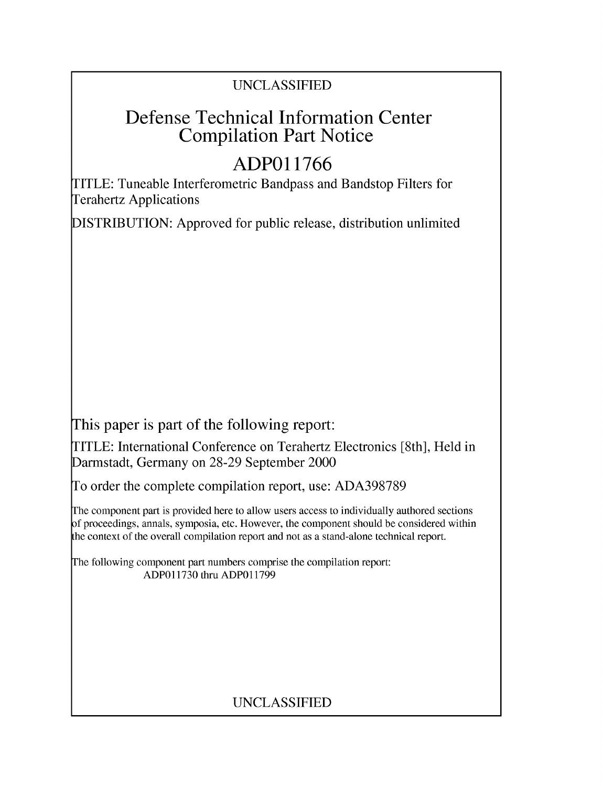## UNCLASSIFIED

# Defense Technical Information Center Compilation Part Notice

# **ADPO 11766**

TITLE: Tuneable Interferometric Bandpass and Bandstop Filters for Terahertz Applications

DISTRIBUTION: Approved for public release, distribution unlimited

This paper is part of the following report:

TITLE: International Conference on Terahertz Electronics [8th], Held in Darmstadt, Germany on 28-29 September 2000

To order the complete compilation report, use: ADA398789

The component part is provided here to allow users access to individually authored sections f proceedings, annals, symposia, etc. However, the component should be considered within [he context of the overall compilation report and not as a stand-alone technical report.

The following component part numbers comprise the compilation report: ADPO11730 thru ADP011799

## UNCLASSIFIED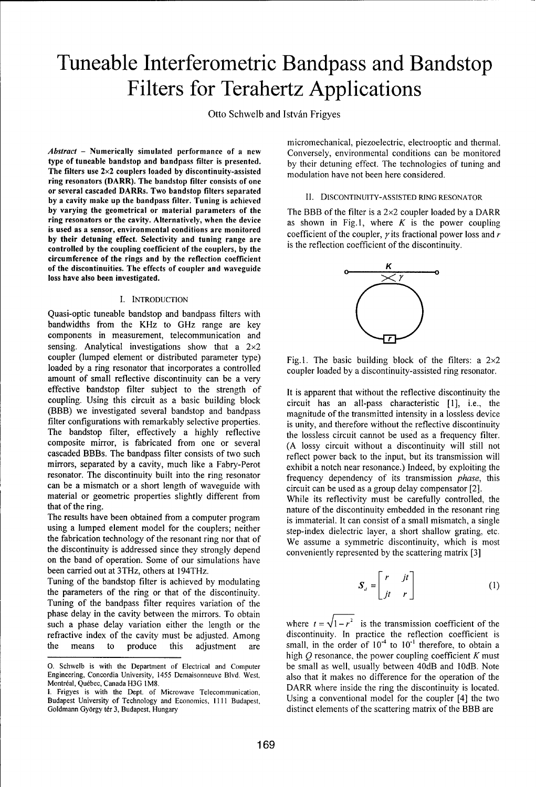# Tuneable Interferometric Bandpass and Bandstop Filters for Terahertz Applications

Otto Schwelb and István Frigyes

type of tuneable bandstop and bandpass filter is presented. **by** their detuning effect. The technologies of tuning and The filters use 2×2 couplers loaded by discontinuity-assisted modulation have not been here considered. ring resonators (DARR). The bandstop filter consists of one or several cascaded DARRs. Two bandstop filters separated by a cavity make up the bandpass filter. Tuning is achieved **11. DISCONTINUITY-ASSISTED** RING RESONATOR by varying the geometrical or material parameters of the The **BBB** of the filter is a 2x2 coupler loaded by a DARR ring resonators or the cavity. Alternatively, when the device as shown in Fig.1, where  $K$  is the power coupling is used as a sensor, environmental conditions are monitored coefficient of the coupler, **y** its fractional power loss and r **by** their detuning effect. Selectivity and tuning range are controlled **by** the coupling coefficient of the couplers, **by** the **is the reflection coefficient of the discontinuity.** circumference of the rings and **by** the reflection coefficient of the discontinuities. The effects of coupler and waveguide loss have also been investigated.  $\times$  *7* 

## I. INTRODUCTION

Quasi-optic tuneable bandstop and bandpass filters with bandwidths from the KHz to GHz range are key components in measurement, telecommunication and sensing. Analytical investigations show that a  $2\times 2$ coupler (lumped element or distributed parameter type) Fig.1. The basic building block of the filters: a  $2\times 2$ loaded by a ring resonator that incorporates a controlled coupler loaded by a discontinuity-assisted ring resonator. amount of small reflective discontinuity can be a very effective bandstop filter subject to the strength of It is apparent that without the reflective discontinuity the coupling. Using this circuit as a basic building block circuit has an all-pass characteristic [1], i.e., the (BBB) we investigated several bandstop and bandpass magnitude of the transmitted intensity in a lossless device filter configurations with remarkably selective properties. is unity, and therefore without the reflective discontinuity The bandstop filter, effectively a highly reflective the lossless circuit cannot be used as a frequency filter. composite mirror, is fabricated from one or several (A lossy circuit without a discontinuity will still not cascaded BBBs. The bandpass filter consists of two such reflect power back to the input, but its transmission will mirrors, separated by a cavity, much like a Fabry-Perot exhibit a notch near resonance.) Indeed, by exploiting the resonator. The discontinuity built into the ring resonator frequency dependency of its transmission *phase*, this can be a mismatch or a short length of waveguide with circuit can be used as a group delay compensator [2]. material or geometric properties slightly different from While its reflectivity must be carefully controlled, the

using a lumped element model for the couplers; neither step-index dielectric layer, a short shallow grating, etc. the fabrication technology of the resonant ring nor that of We assume a symmetric discontinuity, which is most the discontinuity is addressed since they strongly depend conveniently represented by the scattering matrix [3] on the band of operation. Some of our simulations have been carried out at 3THz, others at 194THz. *f*

Tuning of the bandstop filter is achieved by modulating the parameters of the ring or that of the discontinuity. Tuning of the bandpass filter requires variation of the phase delay in the cavity between the mirrors. To obtain such a phase delay variation either the length or the refractive index of the cavity must be adjusted. Among discontinuity. In practice the reflection coefficient is the means to produce this adjustment are small, in the order of  $10^{-4}$  to  $10^{-1}$  therefore, to obtain a

micromechanical, piezoelectric, electrooptic and thermal. Abstract - Numerically simulated performance of a new Conversely, environmental conditions can be monitored



that of the ring.<br>nature of the discontinuity embedded in the resonant ring The results have been obtained from a computer program is immaterial. It can consist of a small mismatch, a single

$$
S_{d} = \begin{bmatrix} r & jt \\ jt & r \end{bmatrix} \tag{1}
$$

where  $t = \sqrt{1 - r^2}$  is the transmission coefficient of the high  $Q$  resonance, the power coupling coefficient  $K$  must **0.** Schwelb is with the Department of Electrical and Computer be small as well, usually between 40dB and 10dB. Note Engineering, Concordia University, 1455 Demaisonneuve Blvd. West, also that it makes no difference for the operation of the Montréal, Québec, Canada H3G IM8.<br>DARR where inside the ring the discontinuity is located. Budapest University of Technology and Economics, 1111 Budapest, Using a conventional model for the coupler [4] the two

I. Frigyes is with the Dept. of Microwave Telecommunication, Goldmann György tér 3, Budapest, Hungary distinct elements of the scattering matrix of the BBB are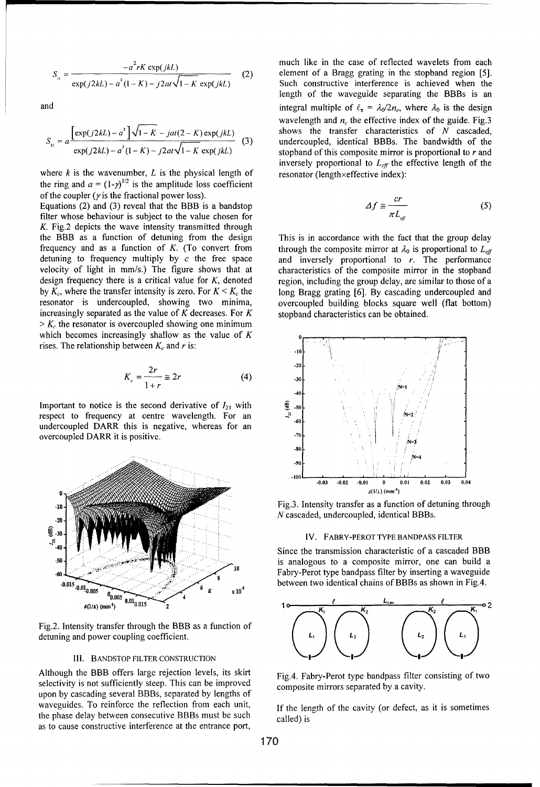$$
S_{ii} = \frac{-a^2 rK \exp(jkL)}{\exp(j2kL) - a^2 (1 - K) - j2at \sqrt{1 - K} \exp(jkL)} \tag{2}
$$

$$
S_{\rm n} = a \frac{\left[ \exp(j2kL) - a^2 \right] \sqrt{1 - K} - jat(2 - K) \exp(jkL)}{\exp(j2kL) - a^2 (1 - K) - j2at \sqrt{1 - K} \exp(jkL)} \tag{3}
$$

where k is the wavenumber, L is the physical length of resonator (length xeffective index): the ring and  $a = (1-y)^{1/2}$  is the amplitude loss coefficient of the coupler ( $\gamma$  is the fractional power loss).

Equations (2) and (3) reveal that the BBB is a bandstop filter whose behaviour is subject to the value chosen for K. Fig.2 depicts the wave intensity transmitted through the BBB as a function of detuning from the design This is in accordance with the fact that the group delay frequency and as a function of *K*. (To convert from through the composite mirror at  $\lambda_0$  is proportional to  $L_{eff}$ detuning to frequency multiply by *c* the free space and inversely proportional to *r*. The performance velocity of light in mm/s.) The figure shows that at characteristics of the composite mirror in the stopband design frequency there is a critical value for  $K$ , denoted region, including the group delay, are similar to those of a by  $K_c$ , where the transfer intensity is zero. For  $K \leq K_c$  the long Bragg grating [6]. By cascading undercoupled and resonator is undercoupled, showing two minima, overcoupled building blocks square well (flat bottom) increasingly separated as the value of K decreases. For  $K$  stopband characteristics can be obtained.  $> K_c$ , the resonator is overcoupled showing one minimum which becomes increasingly shallow as the value of  $K$ rises. The relationship between  $K_c$  and  $r$  is:

$$
K_c = \frac{2r}{1+r} \approx 2r
$$
 (4)

Important to notice is the second derivative of  $I_{21}$  with  $\frac{20}{3}$ respect to frequency at centre wavelength. For an undercoupled DARR this is negative, whereas for an overcoupled DARR it is positive.



Fig.2. Intensity transfer through the BBB as a function of **0** detuning and power coupling coefficient.

## Ill. **BANDSTOP** FILTER **CONSTRUCTION**

Although the BBB offers large rejection levels, its skirt Fig.4. Fabry-Perot type bandpass filter consisting of two selectivity is not sufficiently steep. This can be improved composite mirrors separated by a cavity. upon by cascading several BBBs, separated by lengths of waveguides. To reinforce the reflection from each unit, If the length of the cavity (or defect, as it is sometimes the phase delay between consecutive BBBs must be such called) is as to cause constructive interference at the entrance port,

much like in the case of reflected wavelets from each element of a Bragg grating in the stopband region [5]. Such constructive interference is achieved when the length of the waveguide separating the BBBs is an and integral multiple of  $\ell_{\pi} = \lambda_0/2n_e$ , where  $\lambda_0$  is the design wavelength and  $n_e$  the effective index of the guide. Fig.3 shows the transfer characteristics of N cascaded, undercoupled, identical BBBs. The bandwidth of the stopband of this composite mirror is proportional to r and inversely proportional to  $L_{\text{eff}}$  the effective length of the

$$
\Delta f \cong \frac{cr}{\pi L_{\text{eff}}} \tag{5}
$$



Fig.3. Intensity transfer as a function of detuning through N cascaded, undercoupled, identical BBBs.

#### IV. FABRY-PEROT TYPE **BANDPASS** FILTER

Since the transmission characteristic of a cascaded BBB is analogous to a composite mirror, one can build a Fabry-Perot type bandpass filter by inserting a waveguide **210<sup>3</sup> <b>b**etween two identical chains of BBBs as shown in Fig.4.

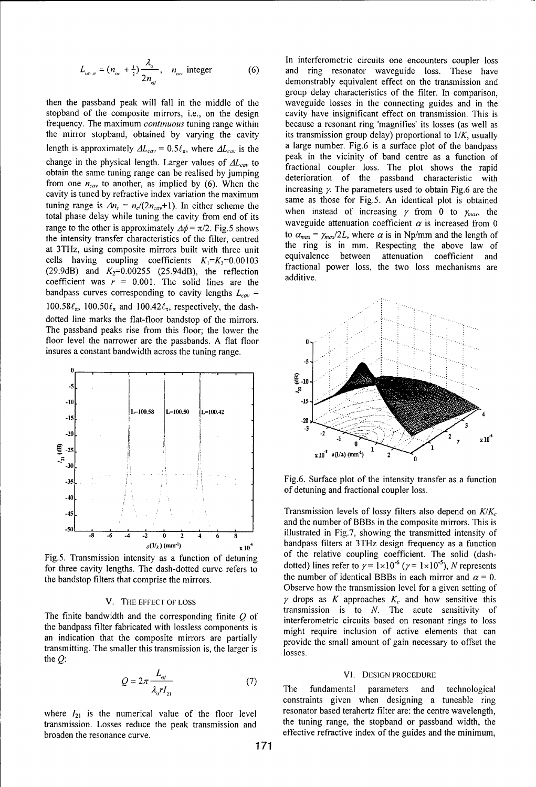$$
L_{\text{cm},n} = (n_{\text{cm}} + \frac{1}{2}) \frac{\lambda_0}{2n_{\text{eff}}}, \quad n_{\text{cm}} \text{ integer}
$$
 (6)

stopband of the composite mirrors, i.e., on the design cavity have insignificant effect on transmission. This is frequency. The maximum *continuous* tuning range within because a resonant ring 'magnifies' its losses (as well as the mirror stopband, obtained by varying the cavity its transmission group delay) proportional to  $1/K$ , usually length is approximately  $\Delta L_{cav} = 0.5\ell_{\pi}$ , where  $\Delta L_{cav}$  is the a large number. Fig.6 is a surface plot of the bandpass peak in the vicinity of band centre as a function of change in the physical length. Larger values of  $\Delta L_{cav}$  to fractional coupler loss. The plot shows the rapid obtain the same tuning range can be realised by jumping From one  $n_{cav}$  to another, as implied by (6). When the increasing  $\gamma$ . The parameters used to obtain Fig.6 are the coultries to a parameters are the increasing  $\gamma$ . The parameters used to obtain Fig.6 are the cavity is tuned by refractive index variation the maximum tuning range is  $\Delta n_e = n_e/(2n_{\text{cav}}+1)$ . In either scheme the same as those for Fig.5. An identical plot is obtained tuning range is  $\Delta n_e = n_e/(2n_{\text{cav}}+1)$ . In either scheme the when instead of increasing  $\gamma$  from 0 to  $\$ total phase delay while tuning the cavity from end of its range to the other is approximately  $\Delta\phi = \pi/2$ . Fig.5 shows waveguide attenuation coefficient  $\alpha$  is increased from 0 the intensity transfer characteristics of the filter, centred to  $\alpha_{max} = \gamma_{max}/2L$ , where  $\alpha$  is in Np/mm and the length of the filter, centred at 3THz using composite mirrors built with throw unit at 3THz, using composite mirrors built with three unit the ring is in mm. Respecting the above law of equivalence between attenuation coefficient and cells having coupling coefficients  $K_1 = K_3 = 0.00103$  equivalence between attenuation coefficient and<br>(20.0dD) and  $K = 0.00255$  (25.04dD) the reflective structural power loss, the two loss mechanisms are (29.9dB) and  $K_2$ =0.00255 (25.94dB), the reflection fractional power loss mechanisms are two loss mechanisms and power are two loss mechanisms and two loss mechanisms are two loss mechanisms are two loss mechanisms are t coefficient was  $r = 0.001$ . The solid lines are the bandpass curves corresponding to cavity lengths  $L_{cav}$  = 100.58 $\ell_{\pi}$ , 100.50 $\ell_{\pi}$  and 100.42 $\ell_{\pi}$ , respectively, the dashdotted line marks the flat-floor bandstop of the mirrors. The passband peaks rise from this floor; the lower the floor level the narrower are the passbands. A flat floor insures a constant bandwidth across the tuning range.



the bandstop filters that comprise the mirrors. the number of identical BBBs in each mirror and  $\alpha = 0$ .

the bandpass filter fabricated with lossless components is might require inclusion of active elements that can an indication that the composite mirrors are partially provide the small amount of gain necessary to offset the transmitting. The smaller this transmission is, the larger is losses. the  $Q$ :

$$
Q = 2\pi \frac{L_{\text{eff}}}{\lambda_{\text{o}} r I_{\text{21}}}
$$
 (7)

transmission. Losses reduce the peak transmission and the tuning range, the stopband or passband width, the broaden the resonance curve.  $\cdot$  effective refractive index of the guides and the minimum,

In interferometric circuits one encounters coupler loss and ring resonator waveguide loss. These have demonstrably equivalent effect on the transmission and group delay characteristics of the filter. In comparison, then the passband peak will fall in the middle of the waveguide losses in the connecting guides and in the



**35**Fig.6. Surface plot of the intensity transfer as a function of detuning and fractional coupler loss.

**-4** 'Transmission levels of lossy filters also depend on *K/K,* and the number of BBBs in the composite mirrors. This is **.0 -8 -6** -4 -2 **0** 2 4 **6 8** illustrated in Fig.7, showing the transmitted intensity of  $(1/2)$ (mm<sup>-1</sup>)  $\times 10^{-4}$  bandpass filters at 3THz design frequency as a function Fig.5. Transmission intensity as a function of detuning of the relative coupling coefficient. The solid (dashfor three cavity lengths. The dash-dotted curve refers to dotted) lines refer to  $\gamma = 1 \times 10^{-6}$  ( $\gamma = 1 \times 10^{-5}$ ), *N* represents Observe how the transmission level for a given setting of V. THE EFFECT OF LOSS  $\gamma$  drops as K approaches  $K_c$  and how sensitive this transmission is to *N.* The acute sensitivity of The finite bandwidth and the corresponding finite  $Q$  of interferometric circuits based on resonant rings to loss

**PHICK EXECTS IN PROCEDURE**<br>The fundamental parameters and technological constraints given when designing a tuneable ring where  $I_{21}$  is the numerical value of the floor level resonator based terahertz filter are: the centre wavelength,